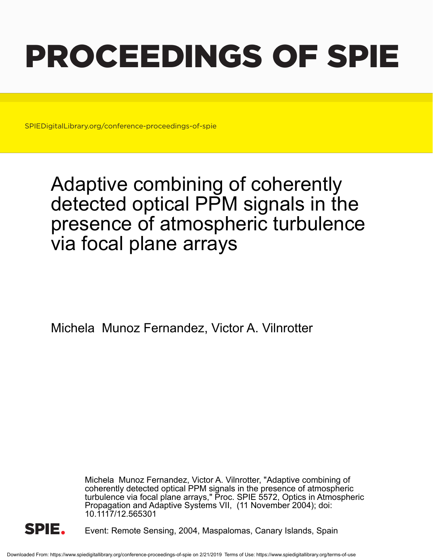# PROCEEDINGS OF SPIE

SPIEDigitalLibrary.org/conference-proceedings-of-spie

## Adaptive combining of coherently detected optical PPM signals in the presence of atmospheric turbulence via focal plane arrays

Michela Munoz Fernandez, Victor A. Vilnrotter

Michela Munoz Fernandez, Victor A. Vilnrotter, "Adaptive combining of coherently detected optical PPM signals in the presence of atmospheric turbulence via focal plane arrays," Proc. SPIE 5572, Optics in Atmospheric Propagation and Adaptive Systems VII, (11 November 2004); doi: 10.1117/12.565301



Event: Remote Sensing, 2004, Maspalomas, Canary Islands, Spain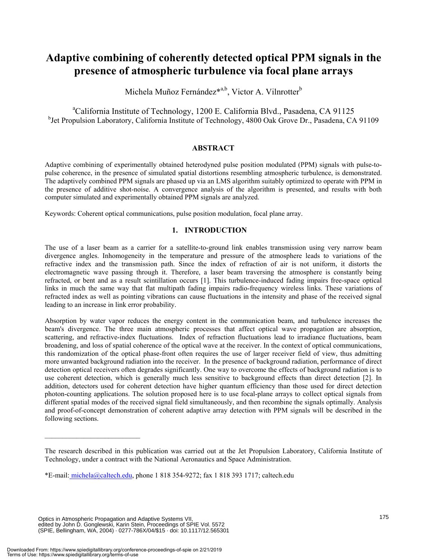### **Adaptive combining of coherently detected optical PPM signals in the presence of atmospheric turbulence via focal plane arrays**

Michela Muñoz Fernández<sup>\*a,b</sup>, Victor A. Vilnrotter<sup>b</sup>

<sup>a</sup>California Institute of Technology, 1200 E. California Blvd., Pasadena, CA 91125 <sup>b</sup>Jet Propulsion Laboratory, California Institute of Technology, 4800 Oak Grove Dr., Pasadena, CA 91109

#### **ABSTRACT**

Adaptive combining of experimentally obtained heterodyned pulse position modulated (PPM) signals with pulse-topulse coherence, in the presence of simulated spatial distortions resembling atmospheric turbulence, is demonstrated. The adaptively combined PPM signals are phased up via an LMS algorithm suitably optimized to operate with PPM in the presence of additive shot-noise. A convergence analysis of the algorithm is presented, and results with both computer simulated and experimentally obtained PPM signals are analyzed.

Keywords: Coherent optical communications, pulse position modulation, focal plane array.

#### **1. INTRODUCTION**

The use of a laser beam as a carrier for a satellite-to-ground link enables transmission using very narrow beam divergence angles. Inhomogeneity in the temperature and pressure of the atmosphere leads to variations of the refractive index and the transmission path. Since the index of refraction of air is not uniform, it distorts the electromagnetic wave passing through it. Therefore, a laser beam traversing the atmosphere is constantly being refracted, or bent and as a result scintillation occurs [1]. This turbulence-induced fading impairs free-space optical links in much the same way that flat multipath fading impairs radio-frequency wireless links. These variations of refracted index as well as pointing vibrations can cause fluctuations in the intensity and phase of the received signal leading to an increase in link error probability.

Absorption by water vapor reduces the energy content in the communication beam, and turbulence increases the beam's divergence. The three main atmospheric processes that affect optical wave propagation are absorption, scattering, and refractive-index fluctuations. Index of refraction fluctuations lead to irradiance fluctuations, beam broadening, and loss of spatial coherence of the optical wave at the receiver. In the context of optical communications, this randomization of the optical phase-front often requires the use of larger receiver field of view, thus admitting more unwanted background radiation into the receiver. In the presence of background radiation, performance of direct detection optical receivers often degrades significantly. One way to overcome the effects of background radiation is to use coherent detection, which is generally much less sensitive to background effects than direct detection [2]. In addition, detectors used for coherent detection have higher quantum efficiency than those used for direct detection photon-counting applications. The solution proposed here is to use focal-plane arrays to collect optical signals from different spatial modes of the received signal field simultaneously, and then recombine the signals optimally. Analysis and proof-of-concept demonstration of coherent adaptive array detection with PPM signals will be described in the following sections.

 $\overline{\phantom{a}}$  , where  $\overline{\phantom{a}}$  , where  $\overline{\phantom{a}}$  , where  $\overline{\phantom{a}}$ 

The research described in this publication was carried out at the Jet Propulsion Laboratory, California Institute of Technology, under a contract with the National Aeronautics and Space Administration.

<sup>\*</sup>E-mail: michela@caltech.edu, phone 1 818 354-9272; fax 1 818 393 1717; caltech.edu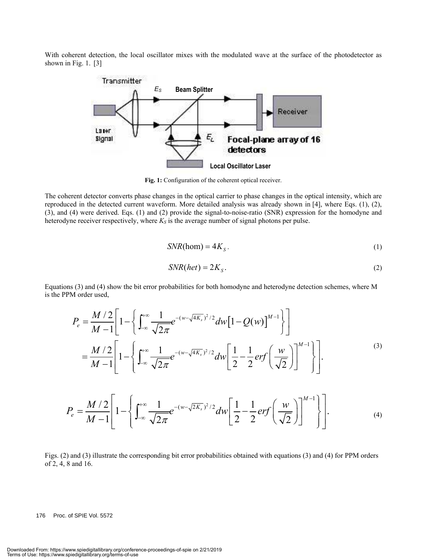With coherent detection, the local oscillator mixes with the modulated wave at the surface of the photodetector as shown in Fig. 1. [3]



Fig. 1: Configuration of the coherent optical receiver.

The coherent detector converts phase changes in the optical carrier to phase changes in the optical intensity, which are reproduced in the detected current waveform. More detailed analysis was already shown in [4], where Eqs. (1), (2), (3), and (4) were derived. Eqs. (1) and (2) provide the signal-to-noise-ratio (SNR) expression for the homodyne and heterodyne receiver respectively, where  $K_S$  is the average number of signal photons per pulse.

$$
SNR(\text{hom}) = 4K_s. \tag{1}
$$

$$
SNR(het) = 2K_s.
$$
 (2)

Equations (3) and (4) show the bit error probabilities for both homodyne and heterodyne detection schemes, where M is the PPM order used,

$$
P_e = \frac{M/2}{M-1} \left[ 1 - \left\{ \int_{-\infty}^{+\infty} \frac{1}{\sqrt{2\pi}} e^{-(w-\sqrt{4K_s})^2/2} dw \left[ 1 - Q(w) \right]^{M-1} \right\} \right]
$$
  
= 
$$
\frac{M/2}{M-1} \left[ 1 - \left\{ \int_{-\infty}^{+\infty} \frac{1}{\sqrt{2\pi}} e^{-(w-\sqrt{4K_s})^2/2} dw \left[ \frac{1}{2} - \frac{1}{2} erf \left( \frac{w}{\sqrt{2}} \right) \right]^{M-1} \right\} \right].
$$
 (3)

$$
P_e = \frac{M/2}{M-1} \left[ 1 - \left\{ \int_{-\infty}^{+\infty} \frac{1}{\sqrt{2\pi}} e^{-(w-\sqrt{2K_s})^2/2} dw \left[ \frac{1}{2} - \frac{1}{2} erf \left( \frac{w}{\sqrt{2}} \right) \right]^{M-1} \right\} \right].
$$
 (4)

Figs. (2) and (3) illustrate the corresponding bit error probabilities obtained with equations (3) and (4) for PPM orders of 2, 4, 8 and 16.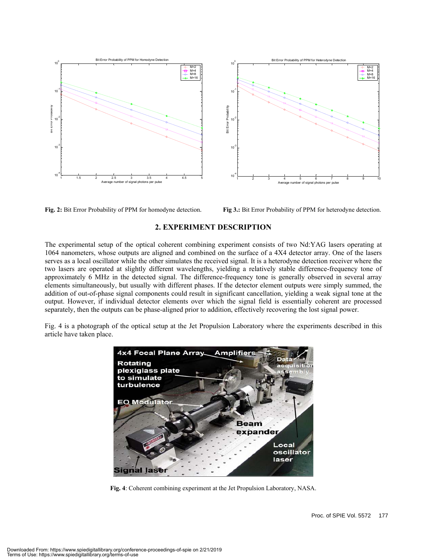



#### **2. EXPERIMENT DESCRIPTION**

The experimental setup of the optical coherent combining experiment consists of two Nd:YAG lasers operating at 1064 nanometers, whose outputs are aligned and combined on the surface of a 4X4 detector array. One of the lasers serves as a local oscillator while the other simulates the received signal. It is a heterodyne detection receiver where the two lasers are operated at slightly different wavelengths, yielding a relatively stable difference-frequency tone of approximately 6 MHz in the detected signal. The difference-frequency tone is generally observed in several array elements simultaneously, but usually with different phases. If the detector element outputs were simply summed, the addition of out-of-phase signal components could result in significant cancellation, yielding a weak signal tone at the output. However, if individual detector elements over which the signal field is essentially coherent are processed separately, then the outputs can be phase-aligned prior to addition, effectively recovering the lost signal power.

Fig. 4 is a photograph of the optical setup at the Jet Propulsion Laboratory where the experiments described in this article have taken place.



**Fig. 4**: Coherent combining experiment at the Jet Propulsion Laboratory, NASA.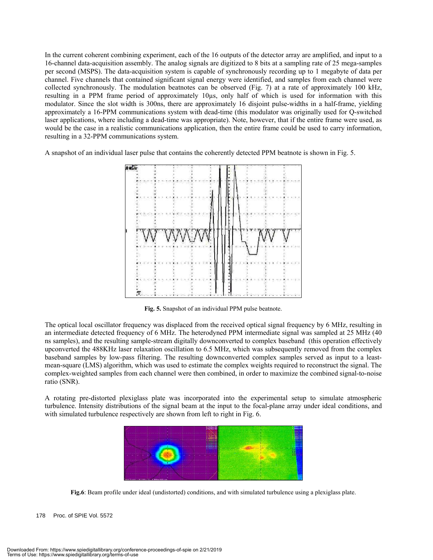In the current coherent combining experiment, each of the 16 outputs of the detector array are amplified, and input to a 16-channel data-acquisition assembly. The analog signals are digitized to 8 bits at a sampling rate of 25 mega-samples per second (MSPS). The data-acquisition system is capable of synchronously recording up to 1 megabyte of data per channel. Five channels that contained significant signal energy were identified, and samples from each channel were collected synchronously. The modulation beatnotes can be observed (Fig. 7) at a rate of approximately 100 kHz, resulting in a PPM frame period of approximately 10µs, only half of which is used for information with this modulator. Since the slot width is 300ns, there are approximately 16 disjoint pulse-widths in a half-frame, yielding approximately a 16-PPM communications system with dead-time (this modulator was originally used for Q-switched laser applications, where including a dead-time was appropriate). Note, however, that if the entire frame were used, as would be the case in a realistic communications application, then the entire frame could be used to carry information, resulting in a 32-PPM communications system.

A snapshot of an individual laser pulse that contains the coherently detected PPM beatnote is shown in Fig. 5.



**Fig. 5.** Snapshot of an individual PPM pulse beatnote.

The optical local oscillator frequency was displaced from the received optical signal frequency by 6 MHz, resulting in an intermediate detected frequency of 6 MHz. The heterodyned PPM intermediate signal was sampled at 25 MHz (40 ns samples), and the resulting sample-stream digitally downconverted to complex baseband (this operation effectively upconverted the 488KHz laser relaxation oscillation to 6.5 MHz, which was subsequently removed from the complex baseband samples by low-pass filtering. The resulting downconverted complex samples served as input to a leastmean-square (LMS) algorithm, which was used to estimate the complex weights required to reconstruct the signal. The complex-weighted samples from each channel were then combined, in order to maximize the combined signal-to-noise ratio (SNR).

A rotating pre-distorted plexiglass plate was incorporated into the experimental setup to simulate atmospheric turbulence. Intensity distributions of the signal beam at the input to the focal-plane array under ideal conditions, and with simulated turbulence respectively are shown from left to right in Fig. 6.



**Fig.6**: Beam profile under ideal (undistorted) conditions, and with simulated turbulence using a plexiglass plate.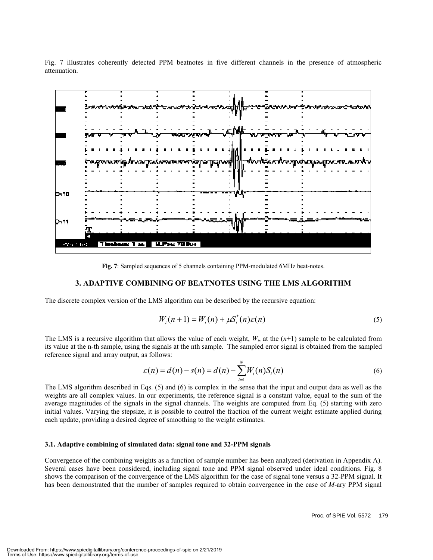Fig. 7 illustrates coherently detected PPM beatnotes in five different channels in the presence of atmospheric attenuation.



**Fig. 7**: Sampled sequences of 5 channels containing PPM-modulated 6MHz beat-notes.

#### **3. ADAPTIVE COMBINING OF BEATNOTES USING THE LMS ALGORITHM**

The discrete complex version of the LMS algorithm can be described by the recursive equation:

$$
W_i(n+1) = W_i(n) + \mu \mathcal{S}_i^*(n)\varepsilon(n)
$$
\n<sup>(5)</sup>

The LMS is a recursive algorithm that allows the value of each weight,  $W_i$ , at the  $(n+1)$  sample to be calculated from its value at the n-th sample, using the signals at the nth sample. The sampled error signal is obtained from the sampled reference signal and array output, as follows:

$$
\varepsilon(n) = d(n) - s(n) = d(n) - \sum_{i=1}^{N} W_i(n) S_i(n)
$$
\n(6)

The LMS algorithm described in Eqs. (5) and (6) is complex in the sense that the input and output data as well as the weights are all complex values. In our experiments, the reference signal is a constant value, equal to the sum of the average magnitudes of the signals in the signal channels. The weights are computed from Eq. (5) starting with zero initial values. Varying the stepsize, it is possible to control the fraction of the current weight estimate applied during each update, providing a desired degree of smoothing to the weight estimates.

#### **3.1. Adaptive combining of simulated data: signal tone and 32-PPM signals**

Convergence of the combining weights as a function of sample number has been analyzed (derivation in Appendix A). Several cases have been considered, including signal tone and PPM signal observed under ideal conditions. Fig. 8 shows the comparison of the convergence of the LMS algorithm for the case of signal tone versus a 32-PPM signal. It has been demonstrated that the number of samples required to obtain convergence in the case of *M*-ary PPM signal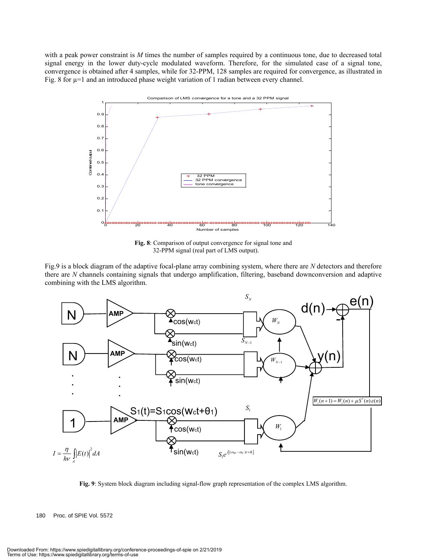with a peak power constraint is *M* times the number of samples required by a continuous tone, due to decreased total signal energy in the lower duty-cycle modulated waveform. Therefore, for the simulated case of a signal tone, convergence is obtained after 4 samples, while for 32-PPM, 128 samples are required for convergence, as illustrated in Fig. 8 for  $\mu$ =1 and an introduced phase weight variation of 1 radian between every channel.



**Fig. 8**: Comparison of output convergence for signal tone and 32-PPM signal (real part of LMS output).

Fig.9 is a block diagram of the adaptive focal-plane array combining system, where there are *N* detectors and therefore there are *N* channels containing signals that undergo amplification, filtering, baseband downconversion and adaptive combining with the LMS algorithm.



**Fig. 9**: System block diagram including signal-flow graph representation of the complex LMS algorithm.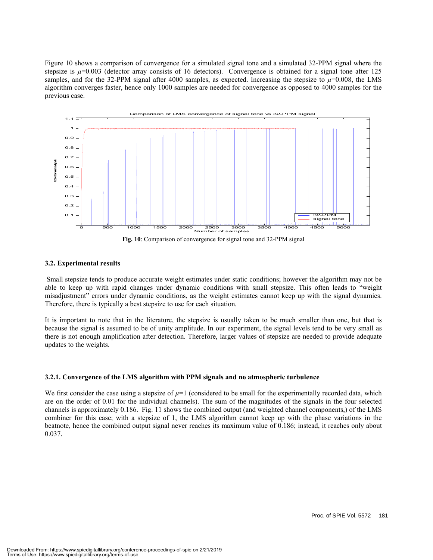Figure 10 shows a comparison of convergence for a simulated signal tone and a simulated 32-PPM signal where the stepsize is  $\mu$ =0.003 (detector array consists of 16 detectors). Convergence is obtained for a signal tone after 125 samples, and for the 32-PPM signal after 4000 samples, as expected. Increasing the stepsize to  $\mu$ =0.008, the LMS algorithm converges faster, hence only 1000 samples are needed for convergence as opposed to 4000 samples for the previous case.



**Fig. 10**: Comparison of convergence for signal tone and 32-PPM signal

#### **3.2. Experimental results**

Small stepsize tends to produce accurate weight estimates under static conditions; however the algorithm may not be able to keep up with rapid changes under dynamic conditions with small stepsize. This often leads to "weight misadjustment" errors under dynamic conditions, as the weight estimates cannot keep up with the signal dynamics. Therefore, there is typically a best stepsize to use for each situation.

It is important to note that in the literature, the stepsize is usually taken to be much smaller than one, but that is because the signal is assumed to be of unity amplitude. In our experiment, the signal levels tend to be very small as there is not enough amplification after detection. Therefore, larger values of stepsize are needed to provide adequate updates to the weights.

#### **3.2.1. Convergence of the LMS algorithm with PPM signals and no atmospheric turbulence**

We first consider the case using a stepsize of  $\mu=1$  (considered to be small for the experimentally recorded data, which are on the order of 0.01 for the individual channels). The sum of the magnitudes of the signals in the four selected channels is approximately 0.186. Fig. 11 shows the combined output (and weighted channel components,) of the LMS combiner for this case; with a stepsize of 1, the LMS algorithm cannot keep up with the phase variations in the beatnote, hence the combined output signal never reaches its maximum value of 0.186; instead, it reaches only about 0.037.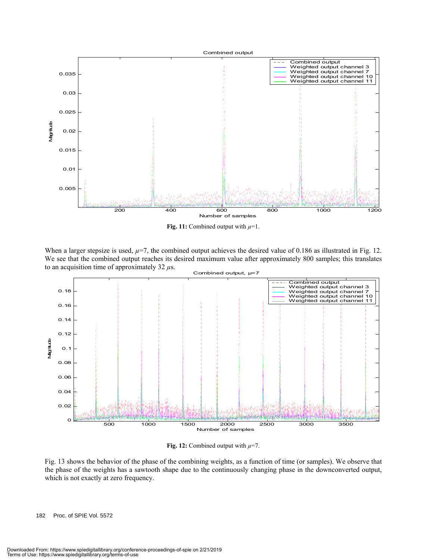

**Fig. 11:** Combined output with  $\mu=1$ .

When a larger stepsize is used,  $\mu$ =7, the combined output achieves the desired value of 0.186 as illustrated in Fig. 12. We see that the combined output reaches its desired maximum value after approximately 800 samples; this translates to an acquisition time of approximately 32 *µ*s.



**Fig. 12:** Combined output with  $\mu$ =7.

Fig. 13 shows the behavior of the phase of the combining weights, as a function of time (or samples). We observe that the phase of the weights has a sawtooth shape due to the continuously changing phase in the downconverted output, which is not exactly at zero frequency.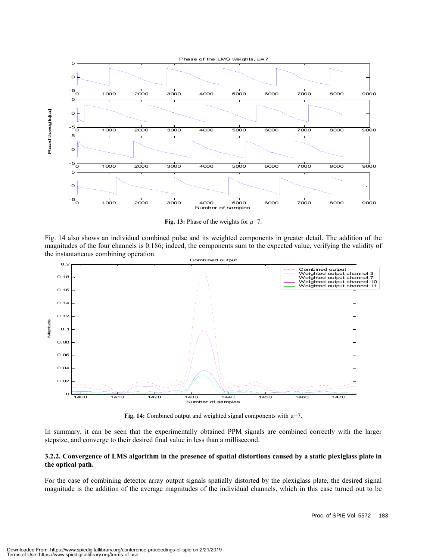

**Fig. 13:** Phase of the weights for  $\mu$ =7.

Fig. 14 also shows an individual combined pulse and its weighted components in greater detail. The addition of the magnitudes of the four channels is 0.186; indeed, the components sum to the expected value, verifying the validity of the instantaneous combining operation.



**Fig. 14:** Combined output and weighted signal components with  $\mu$ =7.

In summary, it can be seen that the experimentally obtained PPM signals are combined correctly with the larger stepsize, and converge to their desired final value in less than a millisecond.

#### **3.2.2. Convergence of LMS algorithm in the presence of spatial distortions caused by a static plexiglass plate in the optical path.**

For the case of combining detector array output signals spatially distorted by the plexiglass plate, the desired signal magnitude is the addition of the average magnitudes of the individual channels, which in this case turned out to be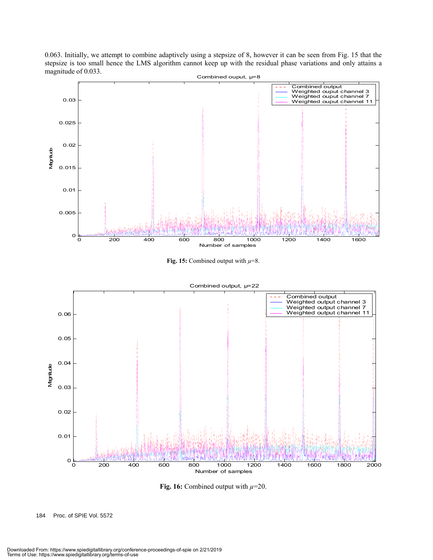0.063. Initially, we attempt to combine adaptively using a stepsize of 8, however it can be seen from Fig. 15 that the stepsize is too small hence the LMS algorithm cannot keep up with the residual phase variations and only attains a magnitude of 0.033.



**Fig. 16:** Combined output with  $\mu$ =20.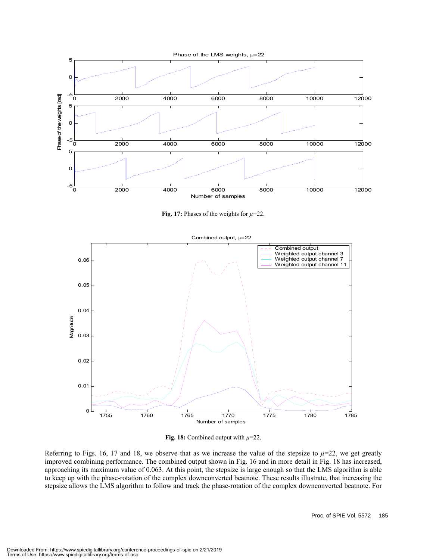

**Fig. 17:** Phases of the weights for  $\mu$ =22.



**Fig. 18:** Combined output with  $\mu$ =22.

Referring to Figs. 16, 17 and 18, we observe that as we increase the value of the stepsize to  $\mu=22$ , we get greatly improved combining performance. The combined output shown in Fig. 16 and in more detail in Fig. 18 has increased, approaching its maximum value of 0.063. At this point, the stepsize is large enough so that the LMS algorithm is able to keep up with the phase-rotation of the complex downconverted beatnote. These results illustrate, that increasing the stepsize allows the LMS algorithm to follow and track the phase-rotation of the complex downconverted beatnote. For